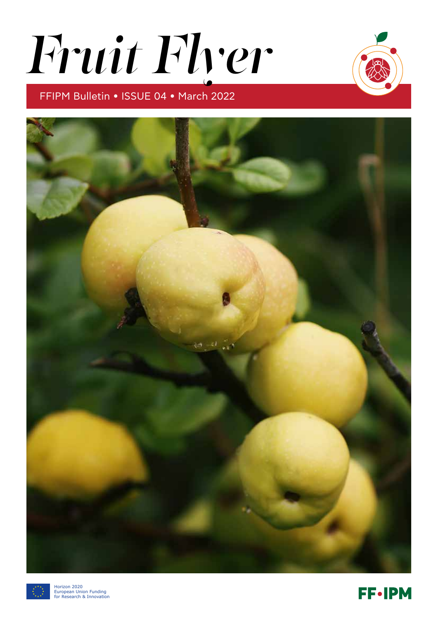# *Fruit Flyer*

# FFIPM Bulletin • ISSUE 04 • March 2022





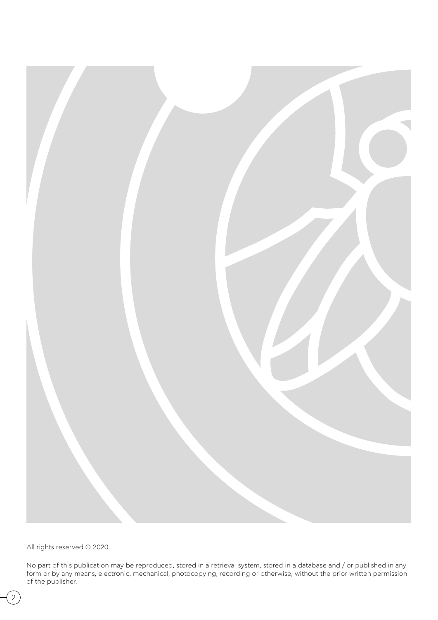

All rights reserved © 2020.

No part of this publication may be reproduced, stored in a retrieval system, stored in a database and / or published in any form or by any means, electronic, mechanical, photocopying, recording or otherwise, without the prior written permission of the publisher.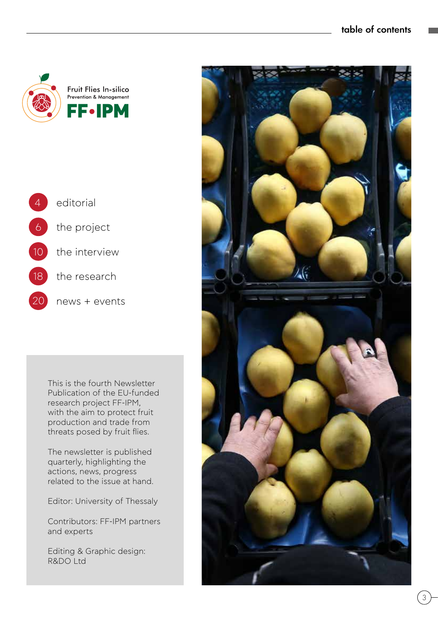#### table of contents





This is the fourth Newsletter Publication of the EU-funded research project FF-IPM, with the aim to protect fruit production and trade from threats posed by fruit flies.

The newsletter is published quarterly, highlighting the actions, news, progress related to the issue at hand.

Editor: University of Thessaly

Contributors: FF-IPM partners and experts

Editing & Graphic design: R&DO Ltd

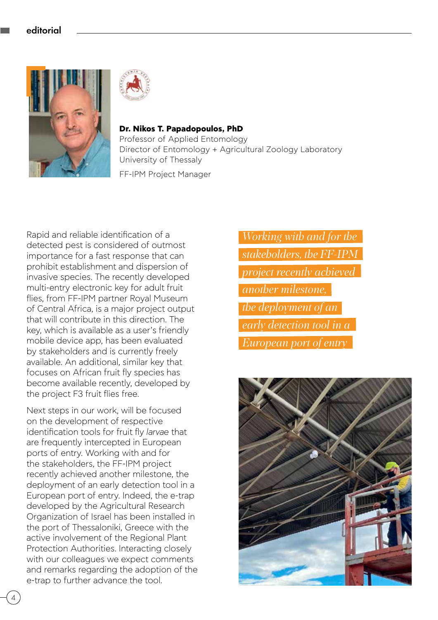



**Dr. Nikos T. Papadopoulos, PhD** Professor of Applied Entomology Director of Entomology + Agricultural Zoology Laboratory University of Thessaly

FF-IPM Project Manager

Rapid and reliable identification of a detected pest is considered of outmost importance for a fast response that can prohibit establishment and dispersion of invasive species. The recently developed multi-entry electronic key for adult fruit flies, from FF-IPM partner Royal Museum of Central Africa, is a major project output that will contribute in this direction. The key, which is available as a user's friendly mobile device app, has been evaluated by stakeholders and is currently freely available. An additional, similar key that focuses on African fruit fly species has become available recently, developed by the project F3 fruit flies free.

Next steps in our work, will be focused on the development of respective identification tools for fruit fly *larvae* that are frequently intercepted in European ports of entry. Working with and for the stakeholders, the FF-IPM project recently achieved another milestone, the deployment of an early detection tool in a European port of entry. Indeed, the e-trap developed by the Agricultural Research Organization of Israel has been installed in the port of Thessaloniki, Greece with the active involvement of the Regional Plant Protection Authorities. Interacting closely with our colleagues we expect comments and remarks regarding the adoption of the e-trap to further advance the tool.

*Working with and for the stakeholders, the FF-IPM project recently achieved another milestone, the deployment of an early detection tool in a European port of entry*

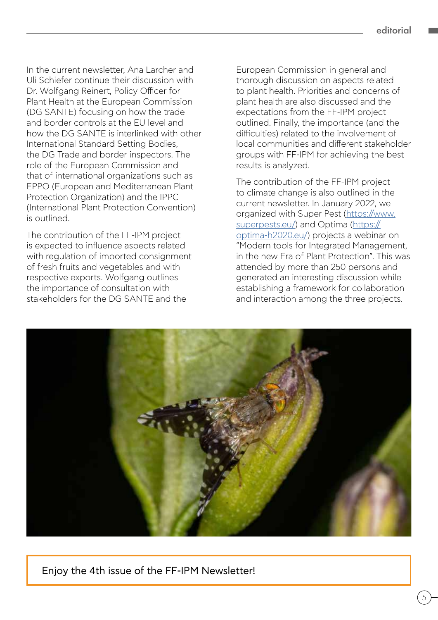In the current newsletter, Ana Larcher and Uli Schiefer continue their discussion with Dr. Wolfgang Reinert, Policy Officer for Plant Health at the European Commission (DG SANTE) focusing on how the trade and border controls at the EU level and how the DG SANTE is interlinked with other International Standard Setting Bodies, the DG Trade and border inspectors. The role of the European Commission and that of international organizations such as EPPO (European and Mediterranean Plant Protection Organization) and the IPPC (International Plant Protection Convention) is outlined.

The contribution of the FF-IPM project is expected to influence aspects related with regulation of imported consignment of fresh fruits and vegetables and with respective exports. Wolfgang outlines the importance of consultation with stakeholders for the DG SANTE and the

European Commission in general and thorough discussion on aspects related to plant health. Priorities and concerns of plant health are also discussed and the expectations from the FF-IPM project outlined. Finally, the importance (and the difficulties) related to the involvement of local communities and different stakeholder groups with FF-IPM for achieving the best results is analyzed.

The contribution of the FF-IPM project to climate change is also outlined in the current newsletter. In January 2022, we organized with Super Pest ([https://www.](https://www.superpests.eu/) [superpests.eu/](https://www.superpests.eu/)) and Optima ([https://](https://optima-h2020.eu/) [optima-h2020.eu/\)](https://optima-h2020.eu/) projects a webinar on "Modern tools for Integrated Management, in the new Era of Plant Protection". This was attended by more than 250 persons and generated an interesting discussion while establishing a framework for collaboration and interaction among the three projects.



Enjoy the 4th issue of the FF-IPM Newsletter!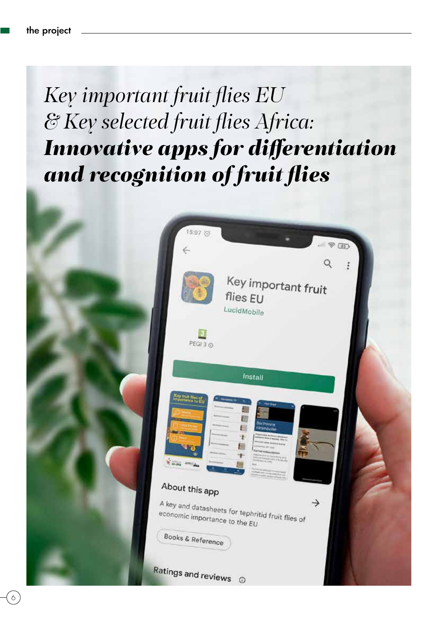# *Key important fruit flies EU & Key selected fruit flies Africa: Innovative apps for differentiation and recognition of fruit flies*

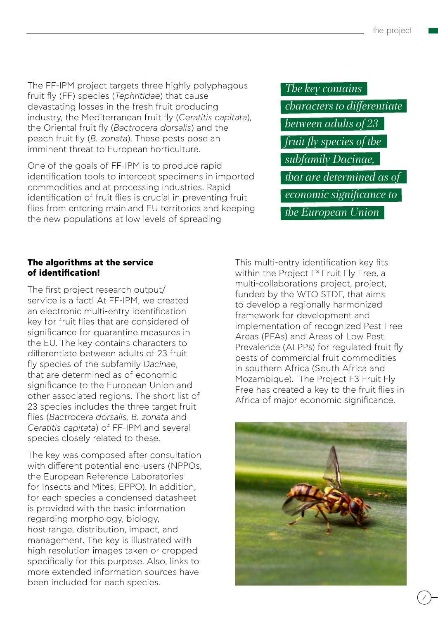The FF-IPM project targets three highly polyphagous fruit fly (FF) species (*Tephritidae*) that cause devastating losses in the fresh fruit producing industry, the Mediterranean fruit fly (*Ceratitis capitata*), the Oriental fruit fly (*Bactrocera dorsalis*) and the peach fruit fly (*B. zonata*). These pests pose an imminent threat to European horticulture.

One of the goals of FF-IPM is to produce rapid identification tools to intercept specimens in imported commodities and at processing industries. Rapid identification of fruit flies is crucial in preventing fruit flies from entering mainland EU territories and keeping the new populations at low levels of spreading

### *The key contains*

*characters to differentiate between adults of 23 fruit fly species of the subfamily Dacinae, that are determined as of economic significance to the European Union* 

#### **The algorithms at the service of identification!**

The first project research output/ service is a fact! At FF-IPM, we created an electronic multi-entry identification key for fruit flies that are considered of significance for quarantine measures in the EU. The key contains characters to differentiate between adults of 23 fruit fly species of the subfamily *Dacinae*, that are determined as of economic significance to the European Union and other associated regions. The short list of 23 species includes the three target fruit flies (*Bactrocera dorsalis, B. zonata* and *Ceratitis capitata*) of FF-IPM and several species closely related to these.

The key was composed after consultation with different potential end-users (NPPOs, the European Reference Laboratories for Insects and Mites, EPPO). In addition, for each species a condensed datasheet is provided with the basic information regarding morphology, biology, host range, distribution, impact, and management. The key is illustrated with high resolution images taken or cropped specifically for this purpose. Also, links to more extended information sources have been included for each species.

This multi-entry identification key fits within the Project F<sup>3</sup> Fruit Fly Free, a multi-collaborations project, project, funded by the WTO STDF, that aims to develop a regionally harmonized framework for development and implementation of recognized Pest Free Areas (PFAs) and Areas of Low Pest Prevalence (ALPPs) for regulated fruit fly pests of commercial fruit commodities in southern Africa (South Africa and Mozambique). The Project F3 Fruit Fly Free has created a key to the fruit flies in Africa of major economic significance.

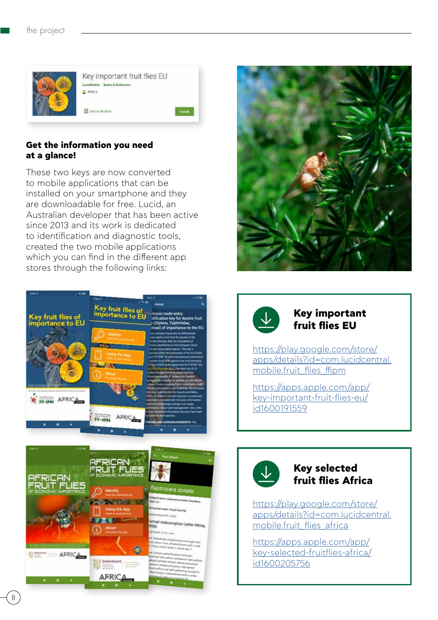

#### **Get the information you need at a glance!**

These two keys are now converted to mobile applications that can be installed on your smartphone and they are downloadable for free. Lucid, an Australian developer that has been active since 2013 and its work is dedicated to identification and diagnostic tools, created the two mobile applications which you can find in the different app stores through the following links:





#### **Key important fruit flies EU**

[https://play.google.com/store/](https://play.google.com/store/apps/details?id=com.lucidcentral.mobile.fruit_flies_ffipm) [apps/details?id=com.lucidcentral.](https://play.google.com/store/apps/details?id=com.lucidcentral.mobile.fruit_flies_ffipm) [mobile.fruit\\_flies\\_ffipm](https://play.google.com/store/apps/details?id=com.lucidcentral.mobile.fruit_flies_ffipm)

[https://apps.apple.com/app/](https://apps.apple.com/app/key-important-fruit-flies-eu/id1600191559) [key-important-fruit-flies-eu/](https://apps.apple.com/app/key-important-fruit-flies-eu/id1600191559) [id1600191559](https://apps.apple.com/app/key-important-fruit-flies-eu/id1600191559)



#### **Key selected fruit flies Africa**

[https://play.google.com/store/](https://play.google.com/store/apps/details?id=com.lucidcentral.mobile.fruit_flies_africa) [apps/details?id=com.lucidcentral.](https://play.google.com/store/apps/details?id=com.lucidcentral.mobile.fruit_flies_africa) [mobile.fruit\\_flies\\_africa](https://play.google.com/store/apps/details?id=com.lucidcentral.mobile.fruit_flies_africa)

[https://apps.apple.com/app/](https://apps.apple.com/app/key-selected-fruitflies-africa/id1600205756) [key-selected-fruitflies-africa/](https://apps.apple.com/app/key-selected-fruitflies-africa/id1600205756) [id1600205756](https://apps.apple.com/app/key-selected-fruitflies-africa/id1600205756)



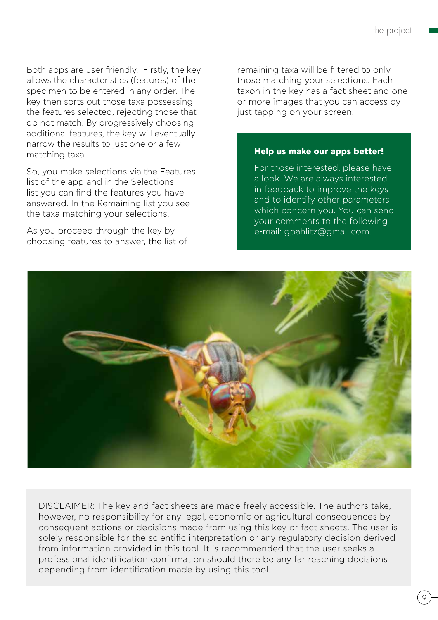Both apps are user friendly. Firstly, the key allows the characteristics (features) of the specimen to be entered in any order. The key then sorts out those taxa possessing the features selected, rejecting those that do not match. By progressively choosing additional features, the key will eventually narrow the results to just one or a few matching taxa.

So, you make selections via the Features list of the app and in the Selections list you can find the features you have answered. In the Remaining list you see the taxa matching your selections.

As you proceed through the key by choosing features to answer, the list of remaining taxa will be filtered to only those matching your selections. Each taxon in the key has a fact sheet and one or more images that you can access by just tapping on your screen.

#### **Help us make our apps better!**

For those interested, please have a look. We are always interested in feedback to improve the keys and to identify other parameters which concern you. You can send your comments to the following e-mail: [gpahlitz@gmail.com](mailto:gpahlitz@gmail.com).



DISCLAIMER: The key and fact sheets are made freely accessible. The authors take, however, no responsibility for any legal, economic or agricultural consequences by consequent actions or decisions made from using this key or fact sheets. The user is solely responsible for the scientific interpretation or any regulatory decision derived from information provided in this tool. It is recommended that the user seeks a professional identification confirmation should there be any far reaching decisions depending from identification made by using this tool.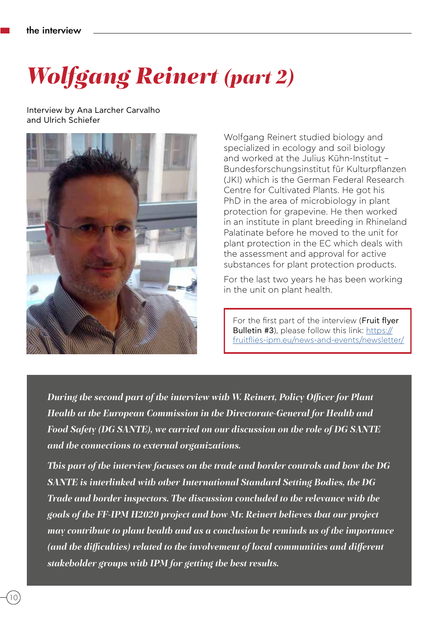# *Wolfgang Reinert (part 2)*

Interview by Ana Larcher Carvalho and Ulrich Schiefer



Wolfgang Reinert studied biology and specialized in ecology and soil biology and worked at the Julius Kühn-Institut – Bundesforschungsinstitut für Kulturpflanzen (JKI) which is the German Federal Research Centre for Cultivated Plants. He got his PhD in the area of microbiology in plant protection for grapevine. He then worked in an institute in plant breeding in Rhineland Palatinate before he moved to the unit for plant protection in the EC which deals with the assessment and approval for active substances for plant protection products.

For the last two years he has been working in the unit on plant health.

For the first part of the interview (Fruit flyer Bulletin #3), please follow this link: [https://](https://fruitflies-ipm.eu/news-and-events/newsletter/) [fruitflies-ipm.eu/news-and-events/newsletter/](https://fruitflies-ipm.eu/news-and-events/newsletter/)

*During the second part of the interview with W. Reinert, Policy Officer for Plant Health at the European Commission in the Directorate-General for Health and Food Safety (DG SANTE), we carried on our discussion on the role of DG SANTE and the connections to external organizations.* 

*This part of the interview focuses on the trade and border controls and how the DG SANTE is interlinked with other International Standard Setting Bodies, the DG Trade and border inspectors. The discussion concluded to the relevance with the goals of the FF-IPM H2020 project and how Mr. Reinert believes that our project may contribute to plant health and as a conclusion he reminds us of the importance (and the difficulties) related to the involvement of local communities and different stakeholder groups with IPM for getting the best results.*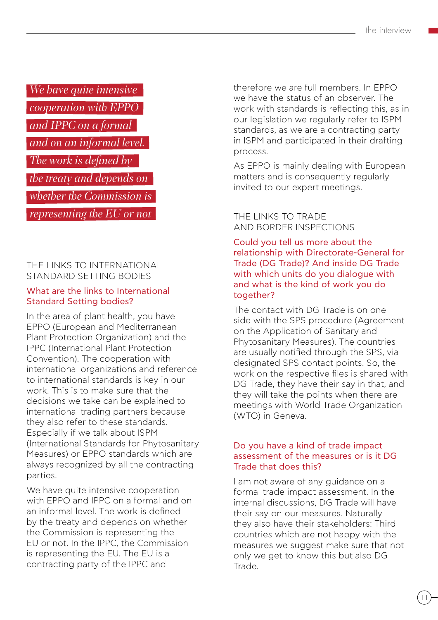# *We have quite intensive cooperation with EPPO and IPPC on a formal and on an informal level. The work is defined by*

*the treaty and depends on* 

*whether the Commission is* 

*representing the EU or not*

THE LINKS TO INTERNATIONAL STANDARD SETTING BODIES

#### What are the links to International Standard Setting bodies?

In the area of plant health, you have EPPO (European and Mediterranean Plant Protection Organization) and the IPPC (International Plant Protection Convention). The cooperation with international organizations and reference to international standards is key in our work. This is to make sure that the decisions we take can be explained to international trading partners because they also refer to these standards. Especially if we talk about ISPM (International Standards for Phytosanitary Measures) or EPPO standards which are always recognized by all the contracting parties.

We have quite intensive cooperation with EPPO and IPPC on a formal and on an informal level. The work is defined by the treaty and depends on whether the Commission is representing the EU or not. In the IPPC, the Commission is representing the EU. The EU is a contracting party of the IPPC and

therefore we are full members. In EPPO we have the status of an observer. The work with standards is reflecting this, as in our legislation we regularly refer to ISPM standards, as we are a contracting party in ISPM and participated in their drafting process.

As EPPO is mainly dealing with European matters and is consequently regularly invited to our expert meetings.

#### THE LINKS TO TRADE AND BORDER INSPECTIONS

Could you tell us more about the relationship with Directorate-General for Trade (DG Trade)? And inside DG Trade with which units do you dialogue with and what is the kind of work you do together?

The contact with DG Trade is on one side with the SPS procedure (Agreement on the Application of Sanitary and Phytosanitary Measures). The countries are usually notified through the SPS, via designated SPS contact points. So, the work on the respective files is shared with DG Trade, they have their say in that, and they will take the points when there are meetings with World Trade Organization (WTO) in Geneva.

#### Do you have a kind of trade impact assessment of the measures or is it DG Trade that does this?

I am not aware of any guidance on a formal trade impact assessment. In the internal discussions, DG Trade will have their say on our measures. Naturally they also have their stakeholders: Third countries which are not happy with the measures we suggest make sure that not only we get to know this but also DG Trade.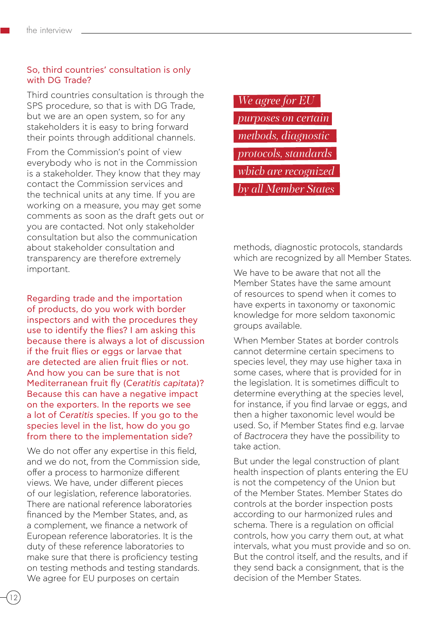#### So, third countries' consultation is only with DG Trade?

Third countries consultation is through the SPS procedure, so that is with DG Trade, but we are an open system, so for any stakeholders it is easy to bring forward their points through additional channels.

From the Commission's point of view everybody who is not in the Commission is a stakeholder. They know that they may contact the Commission services and the technical units at any time. If you are working on a measure, you may get some comments as soon as the draft gets out or you are contacted. Not only stakeholder consultation but also the communication about stakeholder consultation and transparency are therefore extremely important.

Regarding trade and the importation of products, do you work with border inspectors and with the procedures they use to identify the flies? I am asking this because there is always a lot of discussion if the fruit flies or eggs or larvae that are detected are alien fruit flies or not. And how you can be sure that is not Mediterranean fruit fly (*Ceratitis capitata*)? Because this can have a negative impact on the exporters. In the reports we see a lot of *Ceratitis* species. If you go to the species level in the list, how do you go from there to the implementation side?

We do not offer any expertise in this field. and we do not, from the Commission side, offer a process to harmonize different views. We have, under different pieces of our legislation, reference laboratories. There are national reference laboratories financed by the Member States, and, as a complement, we finance a network of European reference laboratories. It is the duty of these reference laboratories to make sure that there is proficiency testing on testing methods and testing standards. We agree for EU purposes on certain

*We agree for EU purposes on certain methods, diagnostic protocols, standards which are recognized by all Member States*

methods, diagnostic protocols, standards which are recognized by all Member States.

We have to be aware that not all the Member States have the same amount of resources to spend when it comes to have experts in taxonomy or taxonomic knowledge for more seldom taxonomic groups available.

When Member States at border controls cannot determine certain specimens to species level, they may use higher taxa in some cases, where that is provided for in the legislation. It is sometimes difficult to determine everything at the species level, for instance, if you find larvae or eggs, and then a higher taxonomic level would be used. So, if Member States find e.g. larvae of *Bactrocera* they have the possibility to take action.

But under the legal construction of plant health inspection of plants entering the EU is not the competency of the Union but of the Member States. Member States do controls at the border inspection posts according to our harmonized rules and schema. There is a regulation on official controls, how you carry them out, at what intervals, what you must provide and so on. But the control itself, and the results, and if they send back a consignment, that is the decision of the Member States.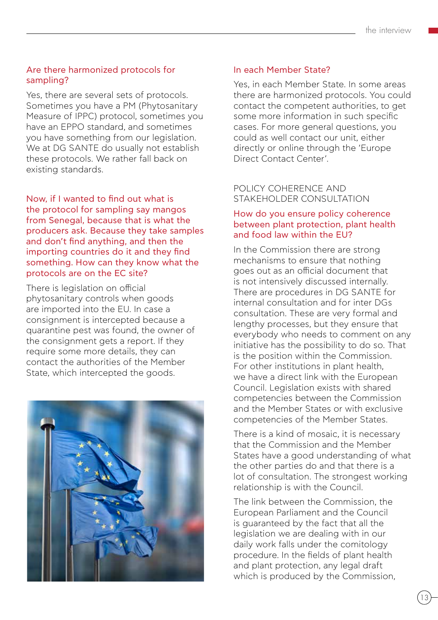#### Are there harmonized protocols for sampling?

Yes, there are several sets of protocols. Sometimes you have a PM (Phytosanitary Measure of IPPC) protocol, sometimes you have an EPPO standard, and sometimes you have something from our legislation. We at DG SANTE do usually not establish these protocols. We rather fall back on existing standards.

#### Now, if I wanted to find out what is the protocol for sampling say mangos from Senegal, because that is what the producers ask. Because they take samples and don't find anything, and then the importing countries do it and they find something. How can they know what the protocols are on the EC site?

There is legislation on official phytosanitary controls when goods are imported into the EU. In case a consignment is intercepted because a quarantine pest was found, the owner of the consignment gets a report. If they require some more details, they can contact the authorities of the Member State, which intercepted the goods.



#### In each Member State?

Yes, in each Member State. In some areas there are harmonized protocols. You could contact the competent authorities, to get some more information in such specific cases. For more general questions, you could as well contact our unit, either directly or online through the 'Europe Direct Contact Center'.

#### POLICY COHERENCE AND STAKEHOLDER CONSULTATION

#### How do you ensure policy coherence between plant protection, plant health and food law within the EU?

In the Commission there are strong mechanisms to ensure that nothing goes out as an official document that is not intensively discussed internally. There are procedures in DG SANTE for internal consultation and for inter DGs consultation. These are very formal and lengthy processes, but they ensure that everybody who needs to comment on any initiative has the possibility to do so. That is the position within the Commission. For other institutions in plant health, we have a direct link with the European Council. Legislation exists with shared competencies between the Commission and the Member States or with exclusive competencies of the Member States.

There is a kind of mosaic, it is necessary that the Commission and the Member States have a good understanding of what the other parties do and that there is a lot of consultation. The strongest working relationship is with the Council.

The link between the Commission, the European Parliament and the Council is guaranteed by the fact that all the legislation we are dealing with in our daily work falls under the comitology procedure. In the fields of plant health and plant protection, any legal draft which is produced by the Commission,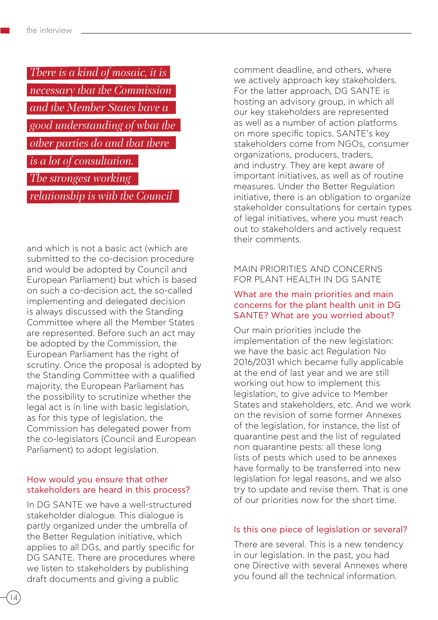| There is a kind of mosaic, it is |
|----------------------------------|
| necessary that the Commission    |
| and the Member States have a     |
| good understanding of what the   |
| other parties do and that there  |
| is a lot of consultation.        |
| The strongest working            |
| relationship is with the Council |

and which is not a basic act (which are submitted to the co-decision procedure and would be adopted by Council and European Parliament) but which is based on such a co-decision act, the so-called implementing and delegated decision is always discussed with the Standing Committee where all the Member States are represented. Before such an act may be adopted by the Commission, the European Parliament has the right of scrutiny. Once the proposal is adopted by the Standing Committee with a qualified majority, the European Parliament has the possibility to scrutinize whether the legal act is in line with basic legislation, as for this type of legislation, the Commission has delegated power from the co-legislators (Council and European Parliament) to adopt legislation.

#### How would you ensure that other stakeholders are heard in this process?

In DG SANTE we have a well-structured stakeholder dialogue. This dialogue is partly organized under the umbrella of the Better Regulation initiative, which applies to all DGs, and partly specific for DG SANTE. There are procedures where we listen to stakeholders by publishing draft documents and giving a public

comment deadline, and others, where we actively approach key stakeholders. For the latter approach, DG SANTE is hosting an advisory group, in which all our key stakeholders are represented as well as a number of action platforms on more specific topics. SANTE's key stakeholders come from NGOs, consumer organizations, producers, traders, and industry. They are kept aware of important initiatives, as well as of routine measures. Under the Better Regulation initiative, there is an obligation to organize stakeholder consultations for certain types of legal initiatives, where you must reach out to stakeholders and actively request their comments.

#### MAIN PRIORITIES AND CONCERNS FOR PLANT HEALTH IN DG SANTE

#### What are the main priorities and main concerns for the plant health unit in DG SANTE? What are you worried about?

Our main priorities include the implementation of the new legislation: we have the basic act Regulation No 2016/2031 which became fully applicable at the end of last year and we are still working out how to implement this legislation, to give advice to Member States and stakeholders, etc. And we work on the revision of some former Annexes of the legislation, for instance, the list of quarantine pest and the list of regulated non quarantine pests: all these long lists of pests which used to be annexes have formally to be transferred into new legislation for legal reasons, and we also try to update and revise them. That is one of our priorities now for the short time.

#### Is this one piece of legislation or several?

There are several. This is a new tendency in our legislation. In the past, you had one Directive with several Annexes where you found all the technical information.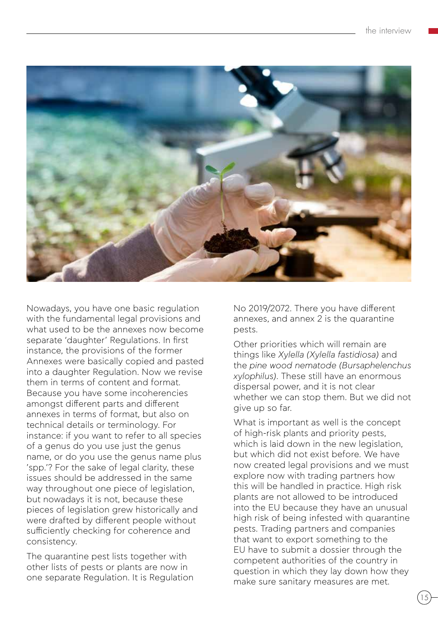

Nowadays, you have one basic regulation with the fundamental legal provisions and what used to be the annexes now become separate 'daughter' Regulations. In first instance, the provisions of the former Annexes were basically copied and pasted into a daughter Regulation. Now we revise them in terms of content and format. Because you have some incoherencies amongst different parts and different annexes in terms of format, but also on technical details or terminology. For instance: if you want to refer to all species of a genus do you use just the genus name, or do you use the genus name plus 'spp.'? For the sake of legal clarity, these issues should be addressed in the same way throughout one piece of legislation. but nowadays it is not, because these pieces of legislation grew historically and were drafted by different people without sufficiently checking for coherence and consistency.

The quarantine pest lists together with other lists of pests or plants are now in one separate Regulation. It is Regulation No 2019/2072. There you have different annexes, and annex 2 is the quarantine pests.

Other priorities which will remain are things like *Xylella (Xylella fastidiosa)* and the *pine wood nematode (Bursaphelenchus xylophilus)*. These still have an enormous dispersal power, and it is not clear whether we can stop them. But we did not give up so far.

What is important as well is the concept of high-risk plants and priority pests, which is laid down in the new legislation. but which did not exist before. We have now created legal provisions and we must explore now with trading partners how this will be handled in practice. High risk plants are not allowed to be introduced into the EU because they have an unusual high risk of being infested with quarantine pests. Trading partners and companies that want to export something to the EU have to submit a dossier through the competent authorities of the country in question in which they lay down how they make sure sanitary measures are met.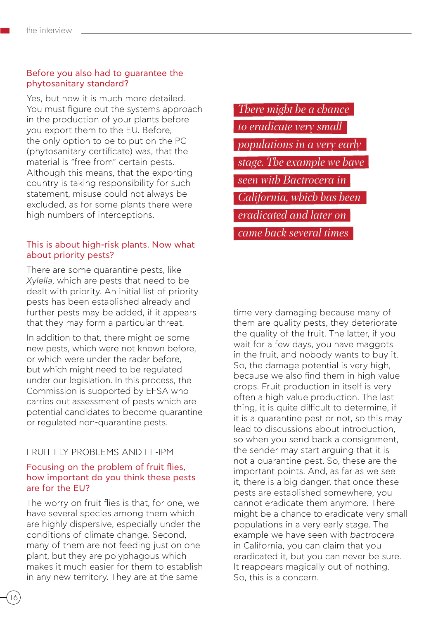#### Before you also had to guarantee the phytosanitary standard?

Yes, but now it is much more detailed. You must figure out the systems approach in the production of your plants before you export them to the EU. Before, the only option to be to put on the PC (phytosanitary certificate) was, that the material is "free from" certain pests. Although this means, that the exporting country is taking responsibility for such statement, misuse could not always be excluded, as for some plants there were high numbers of interceptions.

#### This is about high-risk plants. Now what about priority pests?

There are some quarantine pests, like *Xylella*, which are pests that need to be dealt with priority. An initial list of priority pests has been established already and further pests may be added, if it appears that they may form a particular threat.

In addition to that, there might be some new pests, which were not known before, or which were under the radar before, but which might need to be regulated under our legislation. In this process, the Commission is supported by EFSA who carries out assessment of pests which are potential candidates to become quarantine or regulated non-quarantine pests.

#### FRUIT FLY PROBLEMS AND FF-IPM

#### Focusing on the problem of fruit flies, how important do you think these pests are for the EU?

The worry on fruit flies is that, for one, we have several species among them which are highly dispersive, especially under the conditions of climate change. Second, many of them are not feeding just on one plant, but they are polyphagous which makes it much easier for them to establish in any new territory. They are at the same

*There might be a chance to eradicate very small populations in a very early stage. The example we have seen with Bactrocera in California, which has been eradicated and later on came back several times* 

time very damaging because many of them are quality pests, they deteriorate the quality of the fruit. The latter, if you wait for a few days, you have maggots in the fruit, and nobody wants to buy it. So, the damage potential is very high, because we also find them in high value crops. Fruit production in itself is very often a high value production. The last thing, it is quite difficult to determine, if it is a quarantine pest or not, so this may lead to discussions about introduction, so when you send back a consignment, the sender may start arguing that it is not a quarantine pest. So, these are the important points. And, as far as we see it, there is a big danger, that once these pests are established somewhere, you cannot eradicate them anymore. There might be a chance to eradicate very small populations in a very early stage. The example we have seen with *bactrocera* in California, you can claim that you eradicated it, but you can never be sure. It reappears magically out of nothing. So, this is a concern.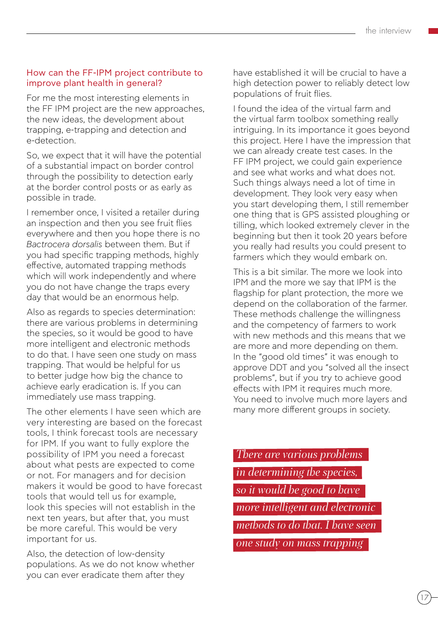#### How can the FF-IPM project contribute to improve plant health in general?

For me the most interesting elements in the FF IPM project are the new approaches, the new ideas, the development about trapping, e-trapping and detection and e-detection.

So, we expect that it will have the potential of a substantial impact on border control through the possibility to detection early at the border control posts or as early as possible in trade.

I remember once, I visited a retailer during an inspection and then you see fruit flies everywhere and then you hope there is no *Bactrocera dorsalis* between them. But if you had specific trapping methods, highly effective, automated trapping methods which will work independently and where you do not have change the traps every day that would be an enormous help.

Also as regards to species determination: there are various problems in determining the species, so it would be good to have more intelligent and electronic methods to do that. I have seen one study on mass trapping. That would be helpful for us to better judge how big the chance to achieve early eradication is. If you can immediately use mass trapping.

The other elements I have seen which are very interesting are based on the forecast tools, I think forecast tools are necessary for IPM. If you want to fully explore the possibility of IPM you need a forecast about what pests are expected to come or not. For managers and for decision makers it would be good to have forecast tools that would tell us for example, look this species will not establish in the next ten years, but after that, you must be more careful. This would be very important for us.

Also, the detection of low-density populations. As we do not know whether you can ever eradicate them after they

have established it will be crucial to have a high detection power to reliably detect low populations of fruit flies.

I found the idea of the virtual farm and the virtual farm toolbox something really intriguing. In its importance it goes beyond this project. Here I have the impression that we can already create test cases. In the FF IPM project, we could gain experience and see what works and what does not. Such things always need a lot of time in development. They look very easy when you start developing them, I still remember one thing that is GPS assisted ploughing or tilling, which looked extremely clever in the beginning but then it took 20 years before you really had results you could present to farmers which they would embark on.

This is a bit similar. The more we look into IPM and the more we say that IPM is the flagship for plant protection, the more we depend on the collaboration of the farmer. These methods challenge the willingness and the competency of farmers to work with new methods and this means that we are more and more depending on them. In the "good old times" it was enough to approve DDT and you "solved all the insect problems", but if you try to achieve good effects with IPM it requires much more. You need to involve much more layers and many more different groups in society.

*There are various problems in determining the species, so it would be good to have more intelligent and electronic methods to do that. I have seen one study on mass trapping*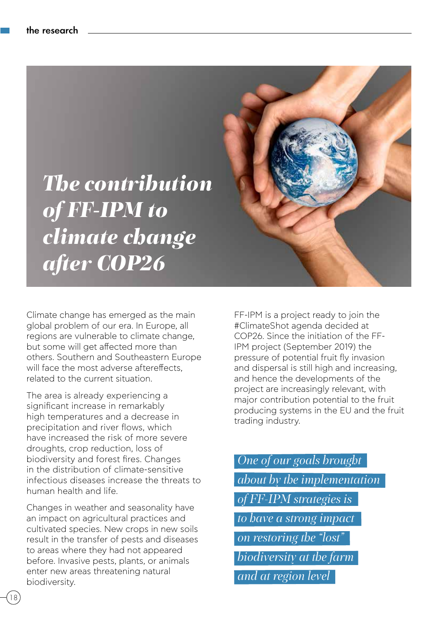

Climate change has emerged as the main global problem of our era. In Europe, all regions are vulnerable to climate change, but some will get affected more than others. Southern and Southeastern Europe will face the most adverse aftereffects related to the current situation.

The area is already experiencing a significant increase in remarkably high temperatures and a decrease in precipitation and river flows, which have increased the risk of more severe droughts, crop reduction, loss of biodiversity and forest fires. Changes in the distribution of climate-sensitive infectious diseases increase the threats to human health and life.

Changes in weather and seasonality have an impact on agricultural practices and cultivated species. New crops in new soils result in the transfer of pests and diseases to areas where they had not appeared before. Invasive pests, plants, or animals enter new areas threatening natural biodiversity.

FF-IPM is a project ready to join the #ClimateShot agenda decided at COP26. Since the initiation of the FF-IPM project (September 2019) the pressure of potential fruit fly invasion and dispersal is still high and increasing, and hence the developments of the project are increasingly relevant, with major contribution potential to the fruit producing systems in the EU and the fruit trading industry.

*One of our goals brought about by the implementation of FF-IPM strategies is to have a strong impact on restoring the "lost" biodiversity at the farm and at region level*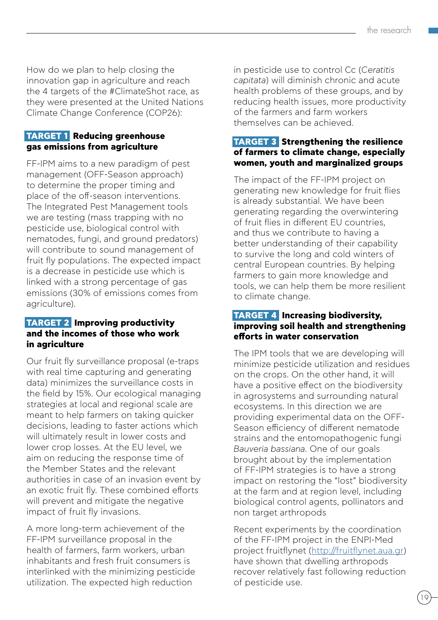How do we plan to help closing the innovation gap in agriculture and reach the 4 targets of the #ClimateShot race, as they were presented at the United Nations Climate Change Conference (COP26):

#### **TARGET 1 Reducing greenhouse gas emissions from agriculture**

FF-IPM aims to a new paradigm of pest management (OFF-Season approach) to determine the proper timing and place of the off-season interventions. The Integrated Pest Management tools we are testing (mass trapping with no pesticide use, biological control with nematodes, fungi, and ground predators) will contribute to sound management of fruit fly populations. The expected impact is a decrease in pesticide use which is linked with a strong percentage of gas emissions (30% of emissions comes from agriculture).

#### **TARGET 2 Improving productivity and the incomes of those who work in agriculture**

Our fruit fly surveillance proposal (e-traps with real time capturing and generating data) minimizes the surveillance costs in the field by 15%. Our ecological managing strategies at local and regional scale are meant to help farmers on taking quicker decisions, leading to faster actions which will ultimately result in lower costs and lower crop losses. At the EU level, we aim on reducing the response time of the Member States and the relevant authorities in case of an invasion event by an exotic fruit fly. These combined efforts will prevent and mitigate the negative impact of fruit fly invasions.

A more long-term achievement of the FF-IPM surveillance proposal in the health of farmers, farm workers, urban inhabitants and fresh fruit consumers is interlinked with the minimizing pesticide utilization. The expected high reduction

in pesticide use to control Cc (*Ceratitis capitata*) will diminish chronic and acute health problems of these groups, and by reducing health issues, more productivity of the farmers and farm workers themselves can be achieved.

#### **TARGET 3 Strengthening the resilience of farmers to climate change, especially women, youth and marginalized groups**

The impact of the FF-IPM project on generating new knowledge for fruit flies is already substantial. We have been generating regarding the overwintering of fruit flies in different EU countries, and thus we contribute to having a better understanding of their capability to survive the long and cold winters of central European countries. By helping farmers to gain more knowledge and tools, we can help them be more resilient to climate change.

#### **TARGET 4 Increasing biodiversity, improving soil health and strengthening efforts in water conservation**

The IPM tools that we are developing will minimize pesticide utilization and residues on the crops. On the other hand, it will have a positive effect on the biodiversity in agrosystems and surrounding natural ecosystems. In this direction we are providing experimental data on the OFF-Season efficiency of different nematode strains and the entomopathogenic fungi *Bauveria bassiana*. One of our goals brought about by the implementation of FF-IPM strategies is to have a strong impact on restoring the "lost" biodiversity at the farm and at region level, including biological control agents, pollinators and non target arthropods

Recent experiments by the coordination of the FF-IPM project in the ENPI-Med project fruitflynet ([http://fruitflynet.aua.gr\)](http://fruitflynet.aua.gr) have shown that dwelling arthropods recover relatively fast following reduction of pesticide use.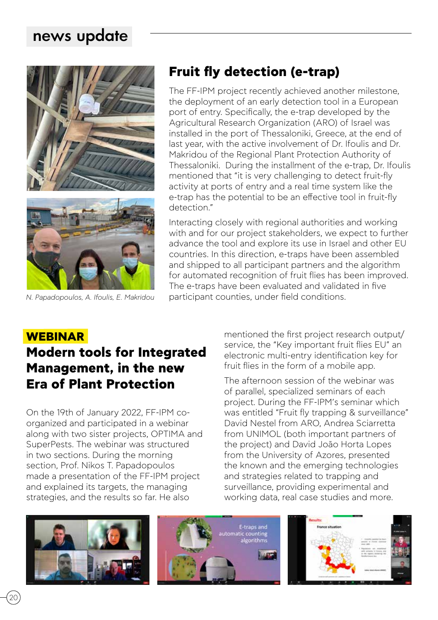# news update



# **Fruit fly detection (e-trap)**

The FF-IPM project recently achieved another milestone, the deployment of an early detection tool in a European port of entry. Specifically, the e-trap developed by the Agricultural Research Organization (ARO) of Israel was installed in the port of Thessaloniki, Greece, at the end of last year, with the active involvement of Dr. Ifoulis and Dr. Makridou of the Regional Plant Protection Authority of Thessaloniki. During the installment of the e-trap, Dr. Ifoulis mentioned that "it is very challenging to detect fruit-fly activity at ports of entry and a real time system like the e-trap has the potential to be an effective tool in fruit-fly detection"

Interacting closely with regional authorities and working with and for our project stakeholders, we expect to further advance the tool and explore its use in Israel and other EU countries. In this direction, e-traps have been assembled and shipped to all participant partners and the algorithm for automated recognition of fruit flies has been improved. The e-traps have been evaluated and validated in five *N. Papadopoulos, A. Ifoulis, Ε. Makridou* participant counties, under field conditions.

#### **WEBINAR**

# **Modern tools for Integrated Management, in the new Era of Plant Protection**

On the 19th of January 2022, FF-IPM coorganized and participated in a webinar along with two sister projects, OPTIMA and SuperPests. The webinar was structured in two sections. During the morning section, Prof. Nikos T. Papadopoulos made a presentation of the FF-IPM project and explained its targets, the managing strategies, and the results so far. He also

mentioned the first project research output/ service, the "Key important fruit flies EU" an electronic multi-entry identification key for fruit flies in the form of a mobile app.

The afternoon session of the webinar was of parallel, specialized seminars of each project. During the FF-IPM's seminar which was entitled "Fruit fly trapping & surveillance" David Nestel from ARO, Andrea Sciarretta from UNIMOL (both important partners of the project) and David João Horta Lopes from the University of Azores, presented the known and the emerging technologies and strategies related to trapping and surveillance, providing experimental and working data, real case studies and more.

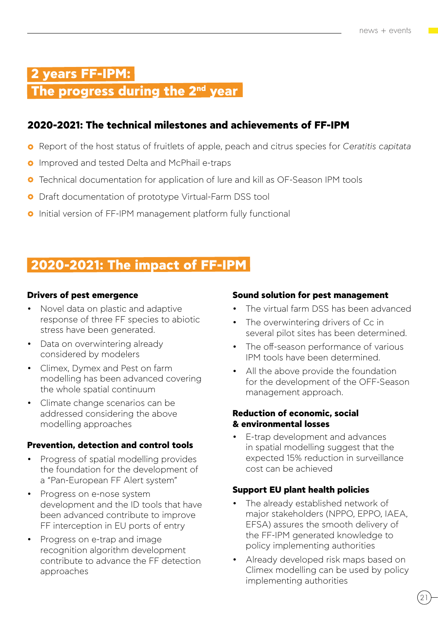# **2 years FF-IPM:**

## **The progress during the 2nd year**

#### **2020-2021: The technical milestones and achievements of FF-IPM**

- Report of the host status of fruitlets of apple, peach and citrus species for *Ceratitis capitata*
- **O** Improved and tested Delta and McPhail e-traps
- **O** Technical documentation for application of lure and kill as OF-Season IPM tools
- **O** Draft documentation of prototype Virtual-Farm DSS tool
- **O** Initial version of FF-IPM management platform fully functional

# **2020-2021: The impact of FF-IPM**

#### **Drivers of pest emergence**

- Novel data on plastic and adaptive response of three FF species to abiotic stress have been generated.
- Data on overwintering already considered by modelers
- Climex, Dymex and Pest on farm modelling has been advanced covering the whole spatial continuum
- Climate change scenarios can be addressed considering the above modelling approaches

#### **Prevention, detection and control tools**

- Progress of spatial modelling provides the foundation for the development of a "Pan-European FF Alert system"
- Progress on e-nose system development and the ID tools that have been advanced contribute to improve FF interception in EU ports of entry
- Progress on e-trap and image recognition algorithm development contribute to advance the FF detection approaches

#### **Sound solution for pest management**

- The virtual farm DSS has been advanced
- The overwintering drivers of Cc in several pilot sites has been determined.
- The off-season performance of various IPM tools have been determined.
- All the above provide the foundation for the development of the OFF-Season management approach.

#### **Reduction of economic, social & environmental losses**

E-trap development and advances in spatial modelling suggest that the expected 15% reduction in surveillance cost can be achieved

#### **Support EU plant health policies**

- The already established network of major stakeholders (NPPO, EPPO, IAEA, EFSA) assures the smooth delivery of the FF-IPM generated knowledge to policy implementing authorities
- Already developed risk maps based on Climex modelling can be used by policy implementing authorities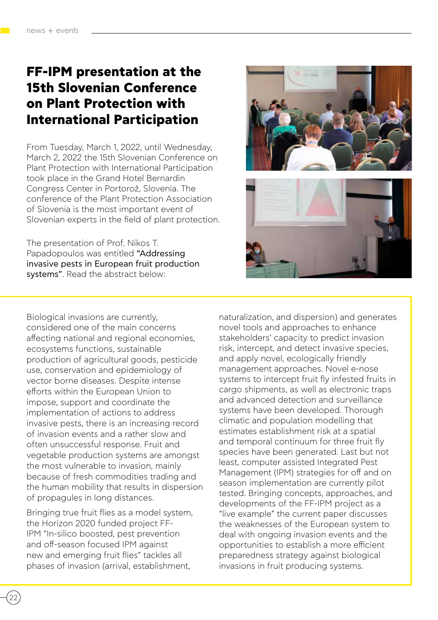# **FF-IPM presentation at the 15th Slovenian Conference on Plant Protection with International Participation**

From Tuesday, March 1, 2022, until Wednesday, March 2, 2022 the 15th Slovenian Conference on Plant Protection with International Participation took place in the Grand Hotel Bernardin Congress Center in Portorož, Slovenia. The conference of the Plant Protection Association of Slovenia is the most important event of Slovenian experts in the field of plant protection.

The presentation of Prof. Nikos T. Papadopoulos was entitled "Addressing invasive pests in European fruit production systems". Read the abstract below:

Biological invasions are currently, considered one of the main concerns affecting national and regional economies, ecosystems functions, sustainable production of agricultural goods, pesticide use, conservation and epidemiology of vector borne diseases. Despite intense efforts within the European Union to impose, support and coordinate the implementation of actions to address invasive pests, there is an increasing record of invasion events and a rather slow and often unsuccessful response. Fruit and vegetable production systems are amongst the most vulnerable to invasion, mainly because of fresh commodities trading and the human mobility that results in dispersion of propagules in long distances.

Bringing true fruit flies as a model system, the Horizon 2020 funded project FF-IPM "In-silico boosted, pest prevention and off-season focused IPM against new and emerging fruit flies" tackles all phases of invasion (arrival, establishment,



naturalization, and dispersion) and generates novel tools and approaches to enhance stakeholders' capacity to predict invasion risk, intercept, and detect invasive species, and apply novel, ecologically friendly management approaches. Novel e-nose systems to intercept fruit fly infested fruits in cargo shipments, as well as electronic traps and advanced detection and surveillance systems have been developed. Thorough climatic and population modelling that estimates establishment risk at a spatial and temporal continuum for three fruit fly species have been generated. Last but not least, computer assisted Integrated Pest Management (IPM) strategies for off and on season implementation are currently pilot tested. Bringing concepts, approaches, and developments of the FF-IPM project as a "live example" the current paper discusses the weaknesses of the European system to deal with ongoing invasion events and the opportunities to establish a more efficient preparedness strategy against biological invasions in fruit producing systems.